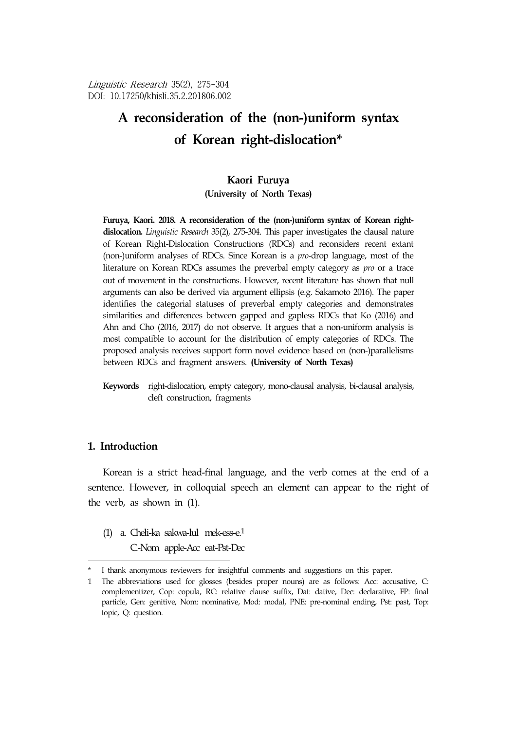Linguistic Research 35(2), 275-304 DOI: 10.17250/khisli.35.2.201806.002

# **A reconsideration of the (non-)uniform syntax of Korean right-dislocation\***<sup>9</sup>

#### **Kaori Furuya**

#### **(University of North Texas)**

**Furuya, Kaori. 2018. A reconsideration of the (non-)uniform syntax of Korean rightdislocation.** *Linguistic Research* 35(2), 275-304. This paper investigates the clausal nature of Korean Right-Dislocation Constructions (RDCs) and reconsiders recent extant (non-)uniform analyses of RDCs. Since Korean is a *pro*-drop language, most of the literature on Korean RDCs assumes the preverbal empty category as *pro* or a trace out of movement in the constructions. However, recent literature has shown that null arguments can also be derived via argument ellipsis (e.g. Sakamoto 2016). The paper identifies the categorial statuses of preverbal empty categories and demonstrates similarities and differences between gapped and gapless RDCs that Ko (2016) and Ahn and Cho (2016, 2017) do not observe. It argues that a non-uniform analysis is most compatible to account for the distribution of empty categories of RDCs. The proposed analysis receives support form novel evidence based on (non-)parallelisms between RDCs and fragment answers. **(University of North Texas)**

# **1. Introduction**

Korean is a strict head-final language, and the verb comes at the end of a sentence. However, in colloquial speech an element can appear to the right of the verb, as shown in (1).

- (1) a. Cheli-ka sakwa-lul mek-ess-e.1
	- C.-Nom apple-Acc eat-Pst-Dec

**Keywords** right-dislocation, empty category, mono-clausal analysis, bi-clausal analysis, cleft construction, fragments

I thank anonymous reviewers for insightful comments and suggestions on this paper.

<sup>1</sup> The abbreviations used for glosses (besides proper nouns) are as follows: Acc: accusative, C: complementizer, Cop: copula, RC: relative clause suffix, Dat: dative, Dec: declarative, FP: final particle, Gen: genitive, Nom: nominative, Mod: modal, PNE: pre-nominal ending, Pst: past, Top: topic, Q: question.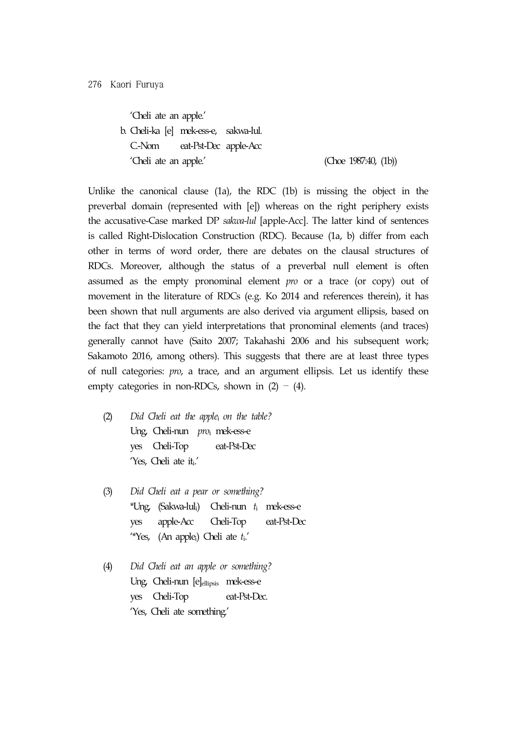'Cheli ate an apple.' b. Cheli-ka [e] mek-ess-e, sakwa-lul. C.-Nom eat-Pst-Dec apple-Acc 'Cheli ate an apple.' (Choe 1987:40, (1b))

Unlike the canonical clause (1a), the RDC (1b) is missing the object in the preverbal domain (represented with [e]) whereas on the right periphery exists the accusative-Case marked DP *sakwa-lul* [apple-Acc]. The latter kind of sentences is called Right-Dislocation Construction (RDC). Because (1a, b) differ from each other in terms of word order, there are debates on the clausal structures of RDCs. Moreover, although the status of a preverbal null element is often assumed as the empty pronominal element *pro* or a trace (or copy) out of movement in the literature of RDCs (e.g. Ko 2014 and references therein), it has been shown that null arguments are also derived via argument ellipsis, based on the fact that they can yield interpretations that pronominal elements (and traces) generally cannot have (Saito 2007; Takahashi 2006 and his subsequent work; Sakamoto 2016, among others). This suggests that there are at least three types of null categories: *pro*, a trace, and an argument ellipsis. Let us identify these empty categories in non-RDCs, shown in  $(2) - (4)$ .

- (2) *Did Cheli eat the apple*<sup>i</sup> *on the table?* Ung, Cheli-nun *pro*<sup>i</sup> mek-ess-e yes Cheli-Top eat-Pst-Dec 'Yes, Cheli ate it,'
- (3) *Did Cheli eat a pear or something?* \*Ung, (Sakwa-luli) Cheli-nun *t*<sup>i</sup> mek-ess-e yes apple-Acc Cheli-Top eat-Pst-Dec '\*Yes, (An applei) Cheli ate *t*i.'
- (4) *Did Cheli eat an apple or something?* Ung, Cheli-nun [e]ellipsis mek-ess-e yes Cheli-Top eat-Pst-Dec. 'Yes, Cheli ate something.'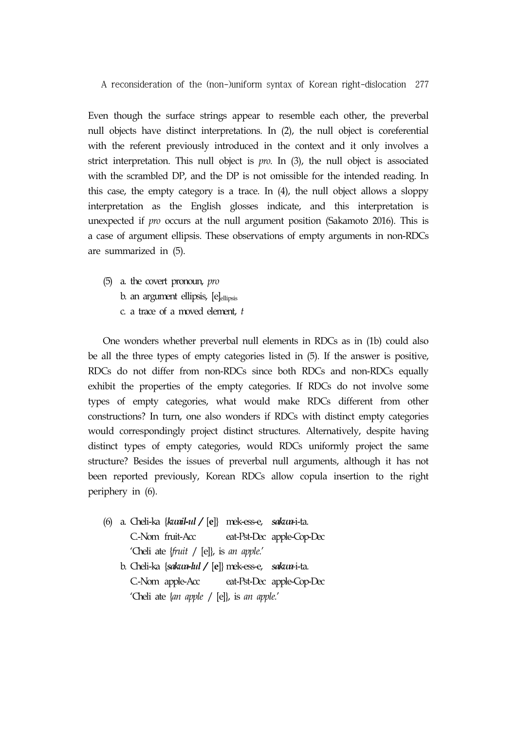Even though the surface strings appear to resemble each other, the preverbal null objects have distinct interpretations. In (2), the null object is coreferential with the referent previously introduced in the context and it only involves a strict interpretation. This null object is *pro*. In (3), the null object is associated with the scrambled DP, and the DP is not omissible for the intended reading. In this case, the empty category is a trace. In (4), the null object allows a sloppy interpretation as the English glosses indicate, and this interpretation is unexpected if *pro* occurs at the null argument position (Sakamoto 2016). This is a case of argument ellipsis. These observations of empty arguments in non-RDCs are summarized in (5).

(5) a. the covert pronoun, *pro* b. an argument ellipsis, [e]<sub>ellipsis</sub> c. a trace of a moved element, *t*

One wonders whether preverbal null elements in RDCs as in (1b) could also be all the three types of empty categories listed in (5). If the answer is positive, RDCs do not differ from non-RDCs since both RDCs and non-RDCs equally exhibit the properties of the empty categories. If RDCs do not involve some types of empty categories, what would make RDCs different from other constructions? In turn, one also wonders if RDCs with distinct empty categories would correspondingly project distinct structures. Alternatively, despite having distinct types of empty categories, would RDCs uniformly project the same structure? Besides the issues of preverbal null arguments, although it has not been reported previously, Korean RDCs allow copula insertion to the right periphery in (6).

- (6) a. Cheli-ka {*kwail-ul /* [**e**]} mek-ess-e, *sakwa*-i-ta. C.-Nom fruit-Acc eat-Pst-Dec apple-Cop-Dec 'Cheli ate {*fruit* / [e]}, is *an apple.*'
	- b. Cheli-ka {*sakwa-lul /* [**e**]} mek-ess-e, *sakwa-*i-ta. C.-Nom apple-Acc eat-Pst-Dec apple-Cop-Dec 'Cheli ate {*an apple* / [e]}, is *an apple.*'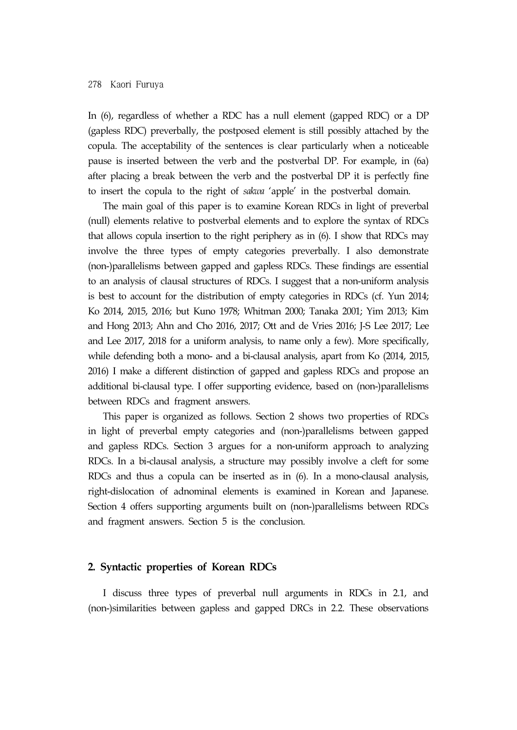In (6), regardless of whether a RDC has a null element (gapped RDC) or a DP (gapless RDC) preverbally, the postposed element is still possibly attached by the copula. The acceptability of the sentences is clear particularly when a noticeable pause is inserted between the verb and the postverbal DP. For example, in (6a) after placing a break between the verb and the postverbal DP it is perfectly fine to insert the copula to the right of *sakwa* 'apple' in the postverbal domain.

The main goal of this paper is to examine Korean RDCs in light of preverbal (null) elements relative to postverbal elements and to explore the syntax of RDCs that allows copula insertion to the right periphery as in (6). I show that RDCs may involve the three types of empty categories preverbally. I also demonstrate (non-)parallelisms between gapped and gapless RDCs. These findings are essential to an analysis of clausal structures of RDCs. I suggest that a non-uniform analysis is best to account for the distribution of empty categories in RDCs (cf. Yun 2014; Ko 2014, 2015, 2016; but Kuno 1978; Whitman 2000; Tanaka 2001; Yim 2013; Kim and Hong 2013; Ahn and Cho 2016, 2017; Ott and de Vries 2016; J-S Lee 2017; Lee and Lee 2017, 2018 for a uniform analysis, to name only a few). More specifically, while defending both a mono- and a bi-clausal analysis, apart from Ko (2014, 2015, 2016) I make a different distinction of gapped and gapless RDCs and propose an additional bi-clausal type. I offer supporting evidence, based on (non-)parallelisms between RDCs and fragment answers.

This paper is organized as follows. Section 2 shows two properties of RDCs in light of preverbal empty categories and (non-)parallelisms between gapped and gapless RDCs. Section 3 argues for a non-uniform approach to analyzing RDCs. In a bi-clausal analysis, a structure may possibly involve a cleft for some RDCs and thus a copula can be inserted as in (6). In a mono-clausal analysis, right-dislocation of adnominal elements is examined in Korean and Japanese. Section 4 offers supporting arguments built on (non-)parallelisms between RDCs and fragment answers. Section 5 is the conclusion.

### **2. Syntactic properties of Korean RDCs**

I discuss three types of preverbal null arguments in RDCs in 2.1, and (non-)similarities between gapless and gapped DRCs in 2.2. These observations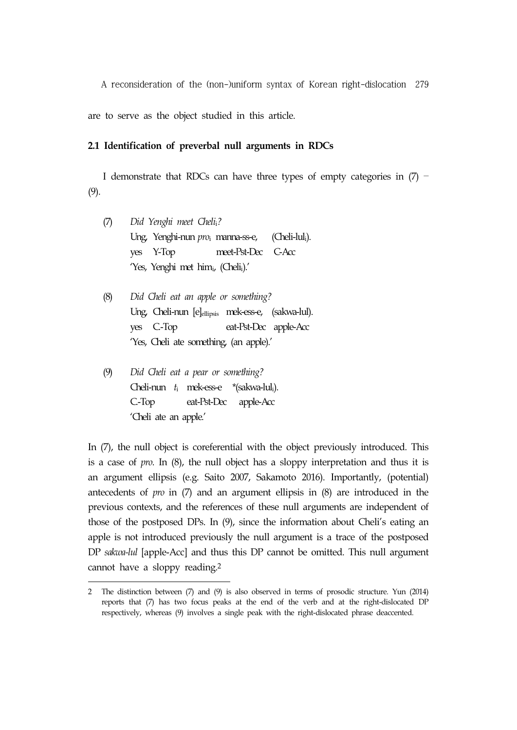are to serve as the object studied in this article.

#### **2.1 Identification of preverbal null arguments in RDCs**

I demonstrate that RDCs can have three types of empty categories in  $(7)$  – (9).

- (7) *Did Yenghi meet Cheli*i*?* Ung, Yenghi-nun *pro*i manna-ss-e, (Cheli-luli). yes Y-Top meet-Pst-Dec C-Acc 'Yes, Yenghi met himi, (Chelii).'
- (8) *Did Cheli eat an apple or something?* Ung, Cheli-nun [e]ellipsis mek-ess-e, (sakwa-lul). yes C.-Top eat-Pst-Dec apple-Acc 'Yes, Cheli ate something, (an apple).'
- (9) *Did Cheli eat a pear or something?* Cheli-nun *t*i mek-ess-e \*(sakwa-luli). C.-Top eat-Pst-Dec apple-Acc 'Cheli ate an apple.'

In (7), the null object is coreferential with the object previously introduced. This is a case of *pro*. In (8), the null object has a sloppy interpretation and thus it is an argument ellipsis (e.g. Saito 2007, Sakamoto 2016). Importantly, (potential) antecedents of *pro* in (7) and an argument ellipsis in (8) are introduced in the previous contexts, and the references of these null arguments are independent of those of the postposed DPs. In (9), since the information about Cheli's eating an apple is not introduced previously the null argument is a trace of the postposed DP *sakwa-lul* [apple-Acc] and thus this DP cannot be omitted. This null argument cannot have a sloppy reading.2

<sup>2</sup> The distinction between (7) and (9) is also observed in terms of prosodic structure. Yun (2014) reports that (7) has two focus peaks at the end of the verb and at the right-dislocated DP respectively, whereas (9) involves a single peak with the right-dislocated phrase deaccented.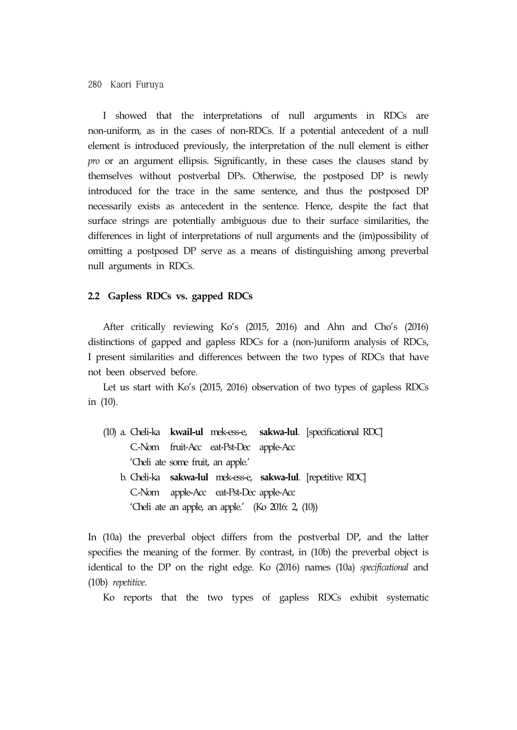I showed that the interpretations of null arguments in RDCs are non-uniform, as in the cases of non-RDCs. If a potential antecedent of a null element is introduced previously, the interpretation of the null element is either *pro* or an argument ellipsis. Significantly, in these cases the clauses stand by themselves without postverbal DPs. Otherwise, the postposed DP is newly introduced for the trace in the same sentence, and thus the postposed DP necessarily exists as antecedent in the sentence. Hence, despite the fact that surface strings are potentially ambiguous due to their surface similarities, the differences in light of interpretations of null arguments and the (im)possibility of omitting a postposed DP serve as a means of distinguishing among preverbal null arguments in RDCs.

#### **2.2 Gapless RDCs vs. gapped RDCs**

After critically reviewing Ko's (2015, 2016) and Ahn and Cho's (2016) distinctions of gapped and gapless RDCs for a (non-)uniform analysis of RDCs, I present similarities and differences between the two types of RDCs that have not been observed before.

Let us start with Ko's (2015, 2016) observation of two types of gapless RDCs in (10).

- (10) a. Cheli-ka **kwail-ul** mek-ess-e, **sakwa-lul**. [specificational RDC] C.-Nom fruit-Acc eat-Pst-Dec apple-Acc 'Cheli ate some fruit, an apple.'
	- b. Cheli-ka **sakwa-lul** mek-ess-e, **sakwa-lul**. [repetitive RDC] C.-Nom apple-Acc eat-Pst-Dec apple-Acc 'Cheli ate an apple, an apple.' (Ko 2016: 2, (10))

In (10a) the preverbal object differs from the postverbal DP, and the latter specifies the meaning of the former. By contrast, in (10b) the preverbal object is identical to the DP on the right edge. Ko (2016) names (10a) *specificational* and (10b) *repetitive*.

Ko reports that the two types of gapless RDCs exhibit systematic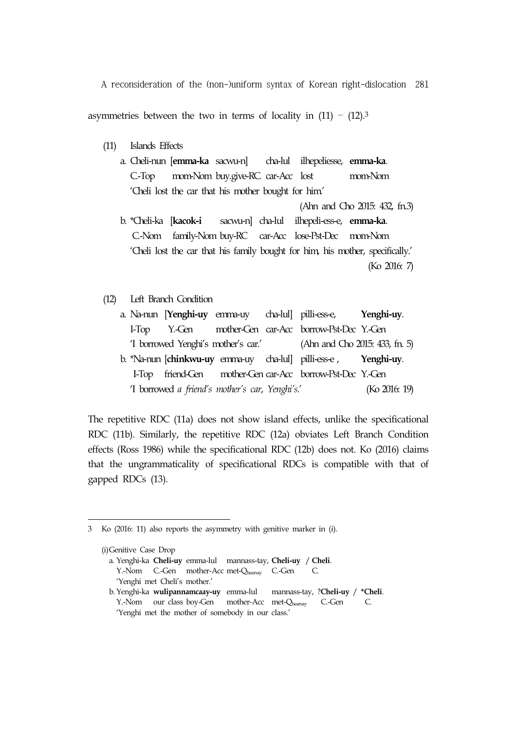asymmetries between the two in terms of locality in  $(11) - (12)$ .<sup>3</sup>

- (11) Islands Effects
	- a. Cheli-nun [**emma-ka** sacwu-n] cha-lul ilhepeliesse, **emma-ka**. C.-Top mom-Nom buy.give-RC. car-Acc lost mom-Nom 'Cheli lost the car that his mother bought for him.'
	- (Ahn and Cho 2015: 432, fn.3) b. \*Cheli-ka [**kacok-i** sacwu-n] cha-lul ilhepeli-ess-e, **emma-ka**. C.-Nom family-Nom buy-RC car-Acc lose-Pst-Dec mom-Nom 'Cheli lost the car that his family bought for him, his mother, specifically.' (Ko 2016: 7)
- (12) Left Branch Condition

|                                                 |  | a. Na-nun [Yenghi-uy emma-uy cha-lul] pilli-ess-e, Yenghi-uy.      |               |
|-------------------------------------------------|--|--------------------------------------------------------------------|---------------|
|                                                 |  | I-Top Y.-Gen mother-Gen car-Acc borrow-Pst-Dec Y.-Gen              |               |
|                                                 |  | 'I borrowed Yenghi's mother's car.' (Ahn and Cho 2015: 433, fn. 5) |               |
|                                                 |  | b. *Na-nun [chinkwu-uy emma-uy cha-lul] pilli-ess-e, Yenghi-uy.    |               |
|                                                 |  | I-Top friend-Gen mother-Gen car-Acc borrow-Pst-Dec Y.-Gen          |               |
| 'I borrowed a friend's mother's car, Yenghi's.' |  |                                                                    | (Ko 2016: 19) |

The repetitive RDC (11a) does not show island effects, unlike the specificational RDC (11b). Similarly, the repetitive RDC (12a) obviates Left Branch Condition effects (Ross 1986) while the specificational RDC (12b) does not. Ko (2016) claims that the ungrammaticality of specificational RDCs is compatible with that of gapped RDCs (13).

<sup>3</sup> Ko (2016: 11) also reports the asymmetry with genitive marker in (i).

<sup>(</sup>i)Genitive Case Drop a. Yenghi-ka **Cheli-uy** emma-lul mannass-tay, **Cheli-uy** / **Cheli**. Y.-Nom C.-Gen mother-Acc met-Qhearsay C.-Gen C. 'Yenghi met Cheli's mother.' b. Yenghi-ka **wulipannamcaay-uy** emma-lul mannass-tay, ?**Cheli-uy** / **\*Cheli**. Y.-Nom our class boy-Gen mother-Acc met-Qhearsay C.-Gen C. 'Yenghi met the mother of somebody in our class.'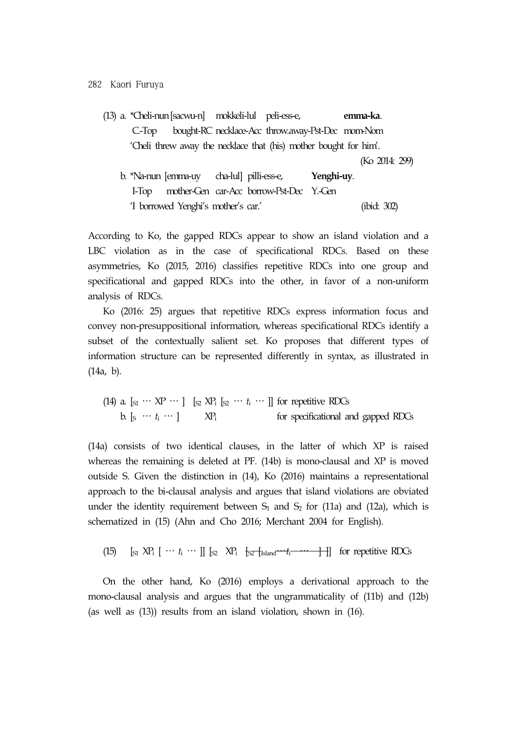|          | (13) a. *Cheli-nun [sacwu-n] mokkeli-lul peli-ess-e,              |                                                   |            | emma-ka.       |  |
|----------|-------------------------------------------------------------------|---------------------------------------------------|------------|----------------|--|
| $C$ -Top |                                                                   | bought-RC necklace-Acc throw.away-Pst-Dec mom-Nom |            |                |  |
|          | 'Cheli threw away the necklace that (his) mother bought for him'. |                                                   |            |                |  |
|          |                                                                   |                                                   |            | (Ko 2014: 299) |  |
|          | b. *Na-nun [emma-uy cha-lul] pilli-ess-e,                         |                                                   | Yenghi-uy. |                |  |
| $1$ -lop | mother-Gen car-Acc borrow-Pst-Dec Y.-Gen                          |                                                   |            |                |  |
|          | 'I borrowed Yenghi's mother's car.'                               |                                                   |            | (ibid: 302)    |  |

According to Ko, the gapped RDCs appear to show an island violation and a LBC violation as in the case of specificational RDCs. Based on these asymmetries, Ko (2015, 2016) classifies repetitive RDCs into one group and specificational and gapped RDCs into the other, in favor of a non-uniform analysis of RDCs.

Ko (2016: 25) argues that repetitive RDCs express information focus and convey non-presuppositional information, whereas specificational RDCs identify a subset of the contextually salient set. Ko proposes that different types of information structure can be represented differently in syntax, as illustrated in (14a, b).

(14) a.  $[s_1 \cdots \text{XP} \cdots]$   $[s_2 \text{XP}_i \; [s_2 \cdots t_i \cdots]]$  for repetitive RDCs b.  $[s \cdots t_i \cdots]$  XP<sub>i</sub> for specificational and gapped RDCs

(14a) consists of two identical clauses, in the latter of which XP is raised whereas the remaining is deleted at PF. (14b) is mono-clausal and XP is moved outside S. Given the distinction in (14), Ko (2016) maintains a representational approach to the bi-clausal analysis and argues that island violations are obviated under the identity requirement between  $S_1$  and  $S_2$  for (11a) and (12a), which is schematized in (15) (Ahn and Cho 2016; Merchant 2004 for English).

(15)  $\left[\begin{array}{ccc} \text{S1} & \text{NP}_1 & \cdots & t_i & \cdots \end{array}\right] \left[\begin{array}{ccc} \text{S2} & \text{NP}_1 & \text{S2}^{\text{-}} \text{Island} \cdots & t_i^{\text{-}} \cdots & \cdots & \cdots \end{array}\right]$  for repetitive RDCs

On the other hand, Ko (2016) employs a derivational approach to the mono-clausal analysis and argues that the ungrammaticality of (11b) and (12b) (as well as (13)) results from an island violation, shown in (16).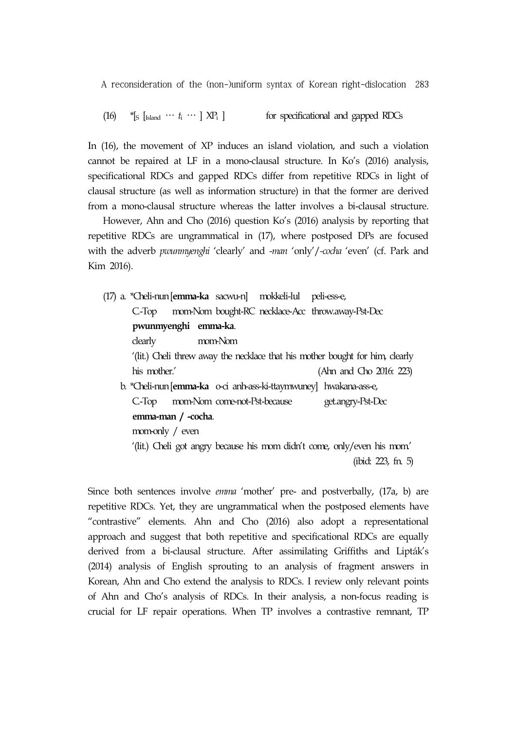$(16)$  \*[S [Island  $\cdots$   $t_i$   $\cdots$  ]  $XP_i$  ] for specificational and gapped RDCs

In (16), the movement of XP induces an island violation, and such a violation cannot be repaired at LF in a mono-clausal structure. In Ko's (2016) analysis, specificational RDCs and gapped RDCs differ from repetitive RDCs in light of clausal structure (as well as information structure) in that the former are derived from a mono-clausal structure whereas the latter involves a bi-clausal structure.

However, Ahn and Cho (2016) question Ko's (2016) analysis by reporting that repetitive RDCs are ungrammatical in (17), where postposed DPs are focused with the adverb *pwunmyenghi* 'clearly' and *-man* 'only'/*-cocha* 'even' (cf. Park and Kim 2016).

(17) a. \*Cheli-nun[**emma-ka** sacwu-n] mokkeli-lul peli-ess-e, C.-Top mom-Nom bought-RC necklace-Acc throw.away-Pst-Dec **pwunmyenghi emma-ka**. clearly mom-Nom '(lit.) Cheli threw away the necklace that his mother bought for him, clearly his mother.' (Ahn and Cho 2016: 223) b. \*Cheli-nun[**emma-ka** o-ci anh-ass-ki-ttaymwuney] hwakana-ass-e, C.-Top mom-Nom come-not-Pst-because get.angry-Pst-Dec **emma-man / -cocha**. mom-only / even '(lit.) Cheli got angry because his mom didn't come, only/even his mom.' (ibid: 223, fn. 5)

Since both sentences involve *emma* 'mother' pre- and postverbally, (17a, b) are repetitive RDCs. Yet, they are ungrammatical when the postposed elements have "contrastive" elements. Ahn and Cho (2016) also adopt a representational approach and suggest that both repetitive and specificational RDCs are equally derived from a bi-clausal structure. After assimilating Griffiths and Lipták's (2014) analysis of English sprouting to an analysis of fragment answers in Korean, Ahn and Cho extend the analysis to RDCs. I review only relevant points of Ahn and Cho's analysis of RDCs. In their analysis, a non-focus reading is crucial for LF repair operations. When TP involves a contrastive remnant, TP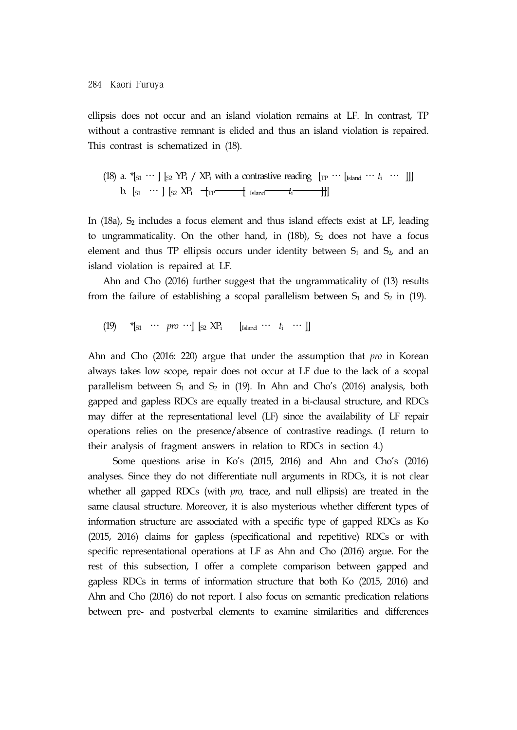ellipsis does not occur and an island violation remains at LF. In contrast, TP without a contrastive remnant is elided and thus an island violation is repaired. This contrast is schematized in (18).

(18) a. 
$$
{}^*[\mathfrak{z}_1 \cdots] [\mathfrak{z}_2 \, YP_i / XP_i
$$
 with a contrastive reading  $[\mathfrak{w} \cdots [\mathfrak{z}_{\text{land}} \cdots t_i \cdots]]$  \nb.  $[\mathfrak{z}_1 \cdots] [\mathfrak{z}_2 \, XP_i \, \{ \mathfrak{w} \cdots \{ \mathfrak{z}_{\text{land}} \cdots t_i \cdots \}]]$ 

In  $(18a)$ ,  $S_2$  includes a focus element and thus island effects exist at LF, leading to ungrammaticality. On the other hand, in  $(18b)$ ,  $S_2$  does not have a focus element and thus TP ellipsis occurs under identity between  $S_1$  and  $S_2$ , and an island violation is repaired at LF.

Ahn and Cho (2016) further suggest that the ungrammaticality of (13) results from the failure of establishing a scopal parallelism between  $S_1$  and  $S_2$  in (19).

 $(19)$  \*[ $_{51}$  … *pro* …]  $[_{52}$  XP<sub>i</sub> [Island …  $t_i$  … ]]

Ahn and Cho (2016: 220) argue that under the assumption that *pro* in Korean always takes low scope, repair does not occur at LF due to the lack of a scopal parallelism between  $S_1$  and  $S_2$  in (19). In Ahn and Cho's (2016) analysis, both gapped and gapless RDCs are equally treated in a bi-clausal structure, and RDCs may differ at the representational level (LF) since the availability of LF repair operations relies on the presence/absence of contrastive readings. (I return to their analysis of fragment answers in relation to RDCs in section 4.)

Some questions arise in Ko's (2015, 2016) and Ahn and Cho's (2016) analyses. Since they do not differentiate null arguments in RDCs, it is not clear whether all gapped RDCs (with *pro,* trace, and null ellipsis) are treated in the same clausal structure. Moreover, it is also mysterious whether different types of information structure are associated with a specific type of gapped RDCs as Ko (2015, 2016) claims for gapless (specificational and repetitive) RDCs or with specific representational operations at LF as Ahn and Cho (2016) argue. For the rest of this subsection, I offer a complete comparison between gapped and gapless RDCs in terms of information structure that both Ko (2015, 2016) and Ahn and Cho (2016) do not report. I also focus on semantic predication relations between pre- and postverbal elements to examine similarities and differences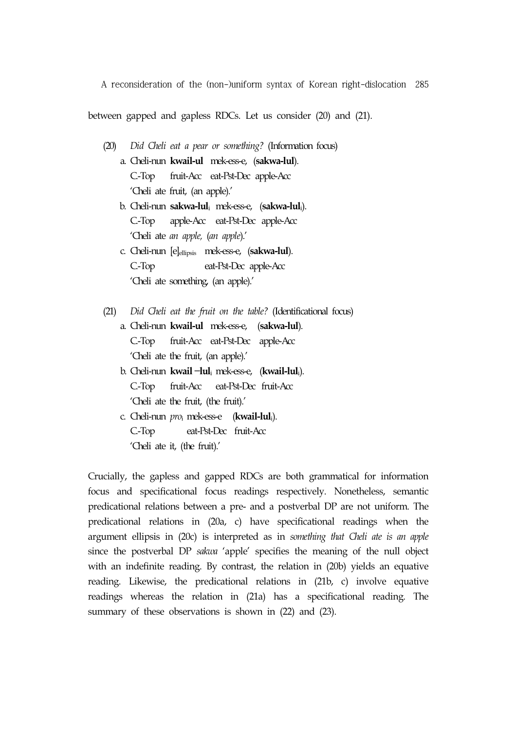between gapped and gapless RDCs. Let us consider (20) and (21).

- (20) *Did Cheli eat a pear or something?* (Information focus)
	- a. Cheli-nun **kwail-ul** mek-ess-e, (**sakwa-lul**). C.-Top fruit-Acc eat-Pst-Dec apple-Acc 'Cheli ate fruit, (an apple).'
	- b. Cheli-nun **sakwa-lul**<sup>i</sup> mek-ess-e, (**sakwa-lul**i). C.-Top apple-Acc eat-Pst-Dec apple-Acc 'Cheli ate *an apple,* (*an apple*).'
	- c. Cheli-nun [e]ellipsis mek-ess-e, (**sakwa-lul**). C.-Top eat-Pst-Dec apple-Acc 'Cheli ate something, (an apple).'
- (21) *Did Cheli eat the fruit on the table?* (Identificational focus)
	- a. Cheli-nun **kwail-ul** mek-ess-e, (**sakwa-lul**). C.-Top fruit-Acc eat-Pst-Dec apple-Acc 'Cheli ate the fruit, (an apple).'
	- b. Cheli-nun **kwail** –**lul**<sup>i</sup> mek-ess-e, (**kwail-lul**i). C.-Top fruit-Acc eat-Pst-Dec fruit-Acc 'Cheli ate the fruit, (the fruit).'
	- c. Cheli-nun *pro*<sup>i</sup> mek-ess-e (**kwail-lul**i). C.-Top eat-Pst-Dec fruit-Acc 'Cheli ate it, (the fruit).'

Crucially, the gapless and gapped RDCs are both grammatical for information focus and specificational focus readings respectively. Nonetheless, semantic predicational relations between a pre- and a postverbal DP are not uniform. The predicational relations in (20a, c) have specificational readings when the argument ellipsis in (20c) is interpreted as in *something that Cheli ate is an apple* since the postverbal DP *sakwa* 'apple' specifies the meaning of the null object with an indefinite reading. By contrast, the relation in (20b) yields an equative reading. Likewise, the predicational relations in (21b, c) involve equative readings whereas the relation in (21a) has a specificational reading. The summary of these observations is shown in (22) and (23).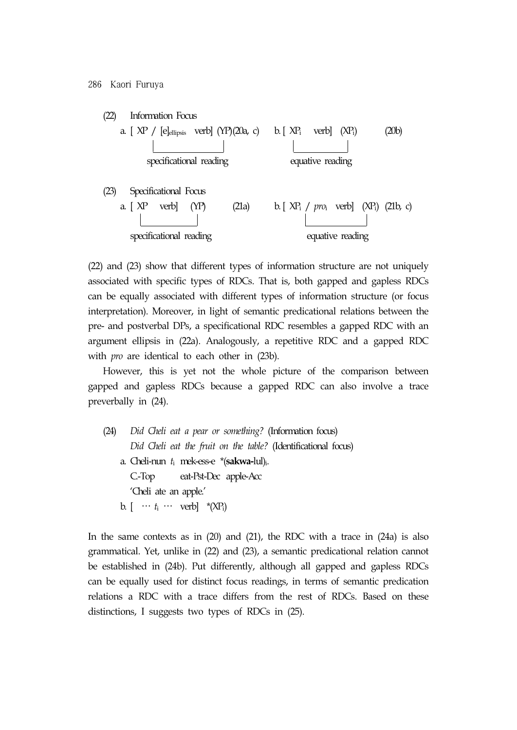

(22) and (23) show that different types of information structure are not uniquely associated with specific types of RDCs. That is, both gapped and gapless RDCs can be equally associated with different types of information structure (or focus interpretation). Moreover, in light of semantic predicational relations between the pre- and postverbal DPs, a specificational RDC resembles a gapped RDC with an argument ellipsis in (22a). Analogously, a repetitive RDC and a gapped RDC with *pro* are identical to each other in (23b).

However, this is yet not the whole picture of the comparison between gapped and gapless RDCs because a gapped RDC can also involve a trace preverbally in (24).

(24) *Did Cheli eat a pear or something?* (Information focus)  *Did Cheli eat the fruit on the table?* (Identificational focus) a. Cheli-nun *t*i mek-ess-e \*(**sakwa-**lul)i. C.-Top eat-Pst-Dec apple-Acc 'Cheli ate an apple.' b.  $[\cdots t_i \cdots \text{verb}]$  \*(XP<sub>i</sub>)

In the same contexts as in  $(20)$  and  $(21)$ , the RDC with a trace in  $(24a)$  is also grammatical. Yet, unlike in (22) and (23), a semantic predicational relation cannot be established in (24b). Put differently, although all gapped and gapless RDCs can be equally used for distinct focus readings, in terms of semantic predication relations a RDC with a trace differs from the rest of RDCs. Based on these distinctions, I suggests two types of RDCs in (25).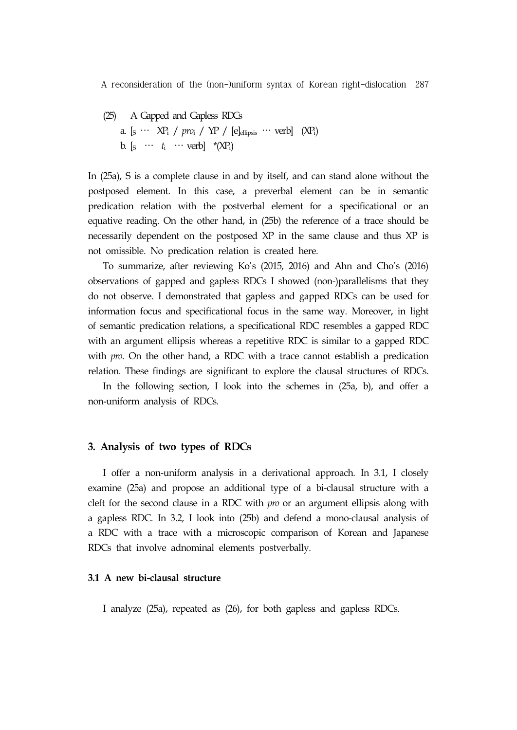(25) A Gapped and Gapless RDCs a. [ $S \cdots XP_i$  /  $pro_i$  /  $YP$  / [e]<sub>ellipsis</sub>  $\cdots$  verb]  $(XP_i)$ b.  $[s \cdots t_i \cdots \text{verb}]$  \*(XP<sub>i</sub>)

In (25a), S is a complete clause in and by itself, and can stand alone without the postposed element. In this case, a preverbal element can be in semantic predication relation with the postverbal element for a specificational or an equative reading. On the other hand, in (25b) the reference of a trace should be necessarily dependent on the postposed XP in the same clause and thus XP is not omissible. No predication relation is created here.

To summarize, after reviewing Ko's (2015, 2016) and Ahn and Cho's (2016) observations of gapped and gapless RDCs I showed (non-)parallelisms that they do not observe. I demonstrated that gapless and gapped RDCs can be used for information focus and specificational focus in the same way. Moreover, in light of semantic predication relations, a specificational RDC resembles a gapped RDC with an argument ellipsis whereas a repetitive RDC is similar to a gapped RDC with *pro*. On the other hand, a RDC with a trace cannot establish a predication relation. These findings are significant to explore the clausal structures of RDCs.

In the following section, I look into the schemes in (25a, b), and offer a non-uniform analysis of RDCs.

#### **3. Analysis of two types of RDCs**

I offer a non-uniform analysis in a derivational approach. In 3.1, I closely examine (25a) and propose an additional type of a bi-clausal structure with a cleft for the second clause in a RDC with *pro* or an argument ellipsis along with a gapless RDC. In 3.2, I look into (25b) and defend a mono-clausal analysis of a RDC with a trace with a microscopic comparison of Korean and Japanese RDCs that involve adnominal elements postverbally.

#### **3.1 A new bi-clausal structure**

I analyze (25a), repeated as (26), for both gapless and gapless RDCs.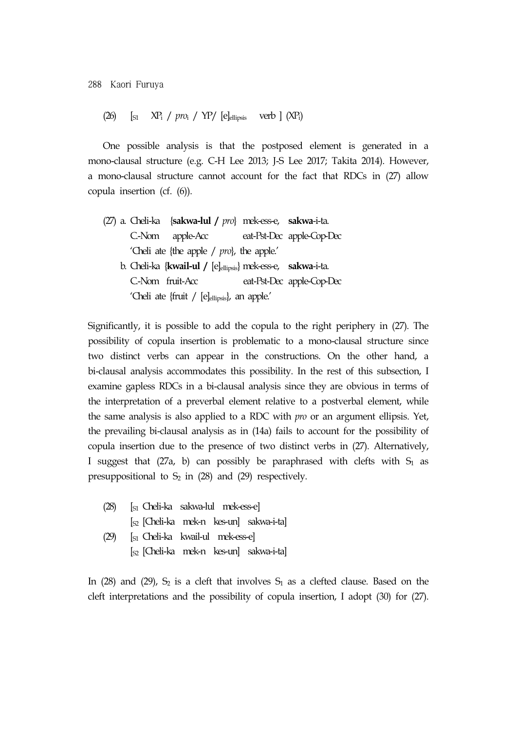(26) [S1 XPi / *pro*i / YP/ [e]ellipsis verb ] (XPi)

One possible analysis is that the postposed element is generated in a mono-clausal structure (e.g. C-H Lee 2013; J-S Lee 2017; Takita 2014). However, a mono-clausal structure cannot account for the fact that RDCs in (27) allow copula insertion (cf. (6)).

(27) a. Cheli-ka {**sakwa-lul /** *pro*} mek-ess-e, **sakwa**-i-ta. C.-Nom apple-Acc eat-Pst-Dec apple-Cop-Dec 'Cheli ate {the apple / *pro*}, the apple.' b. Cheli-ka {**kwail-ul /** [e]ellipsis} mek-ess-e, **sakwa**-i-ta. C.-Nom fruit-Acc eat-Pst-Dec apple-Cop-Dec 'Cheli ate {fruit / [e]<sub>ellipsis</sub>}, an apple.'

Significantly, it is possible to add the copula to the right periphery in (27). The possibility of copula insertion is problematic to a mono-clausal structure since two distinct verbs can appear in the constructions. On the other hand, a bi-clausal analysis accommodates this possibility. In the rest of this subsection, I examine gapless RDCs in a bi-clausal analysis since they are obvious in terms of the interpretation of a preverbal element relative to a postverbal element, while the same analysis is also applied to a RDC with *pro* or an argument ellipsis. Yet, the prevailing bi-clausal analysis as in (14a) fails to account for the possibility of copula insertion due to the presence of two distinct verbs in (27). Alternatively, I suggest that (27a, b) can possibly be paraphrased with clefts with  $S_1$  as presuppositional to  $S_2$  in (28) and (29) respectively.

- (28) [S1 Cheli-ka sakwa-lul mek-ess-e] [S2 [Cheli-ka mek-n kes-un] sakwa-i-ta] (29) [S1 Cheli-ka kwail-ul mek-ess-e]
	- [S2 [Cheli-ka mek-n kes-un] sakwa-i-ta]

In (28) and (29),  $S_2$  is a cleft that involves  $S_1$  as a clefted clause. Based on the cleft interpretations and the possibility of copula insertion, I adopt (30) for (27).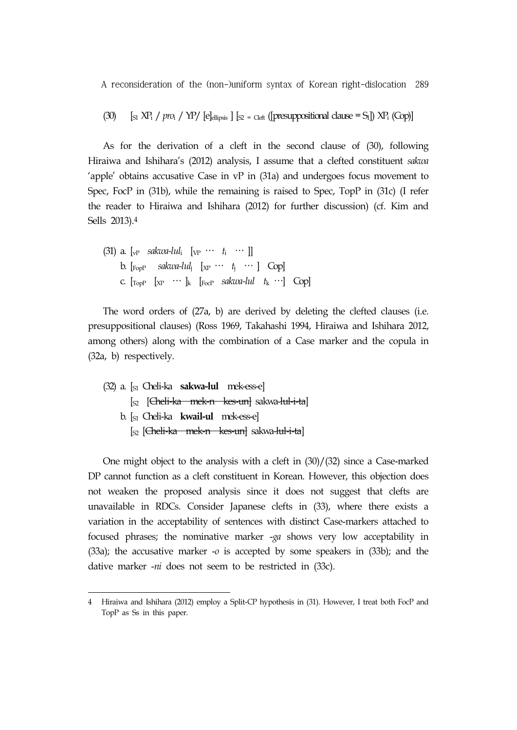(30)  $\left[ \text{S1 } X \text{P1 } / pr_1 / Y \text{P} / \text{[e]}\right] \left[ \text{S2} = \text{Cleft} \right] \left[ \text{presuppositional clause} = \text{S1} \right] \right] X \text{P1} \left[ \text{Cop} \right]$ 

As for the derivation of a cleft in the second clause of (30), following Hiraiwa and Ishihara's (2012) analysis, I assume that a clefted constituent *sakwa*  'apple' obtains accusative Case in vP in (31a) and undergoes focus movement to Spec, FocP in (31b), while the remaining is raised to Spec, TopP in (31c) (I refer the reader to Hiraiwa and Ishihara (2012) for further discussion) (cf. Kim and Sells 2013).4

(31) a. 
$$
[v_P \quad \text{saku-1ul}_i \quad [v_P \quad \cdots \quad t_i \quad \cdots ]]
$$
\nb.  $[r_{\text{opp}} \quad \text{saku-1ul}_j \quad [x_P \quad \cdots \quad t_j \quad \cdots ]$   $[C_{\text{pop}} \quad C$ .  $[r_{\text{opp}} \quad [x_P \quad \cdots \quad k \quad [r_{\text{oc-1}} \quad \text{saku-1ul} \quad t_k \quad \cdots]$   $[C_{\text{pop}}]$ 

The word orders of (27a, b) are derived by deleting the clefted clauses (i.e. presuppositional clauses) (Ross 1969, Takahashi 1994, Hiraiwa and Ishihara 2012, among others) along with the combination of a Case marker and the copula in (32a, b) respectively.

(32) a. [S1 Cheli-ka **sakwa-lul** mek-ess-e] [<sub>S2</sub> [<del>Cheli-ka mek-n kes-un]</del> sakwa-l<del>ul-i-ta</del>] b. [S1 Cheli-ka **kwail-ul** mek-ess-e] [<sub>S2</sub> [<del>Cheli-ka mek-n kes-un]</del> sakwa-l<del>ul-i-ta</del>]

One might object to the analysis with a cleft in (30)/(32) since a Case-marked DP cannot function as a cleft constituent in Korean. However, this objection does not weaken the proposed analysis since it does not suggest that clefts are unavailable in RDCs. Consider Japanese clefts in (33), where there exists a variation in the acceptability of sentences with distinct Case-markers attached to focused phrases; the nominative marker -*ga* shows very low acceptability in (33a); the accusative marker -*o* is accepted by some speakers in (33b); and the dative marker -*ni* does not seem to be restricted in (33c).

Hiraiwa and Ishihara (2012) employ a Split-CP hypothesis in (31). However, I treat both FocP and TopP as Ss in this paper.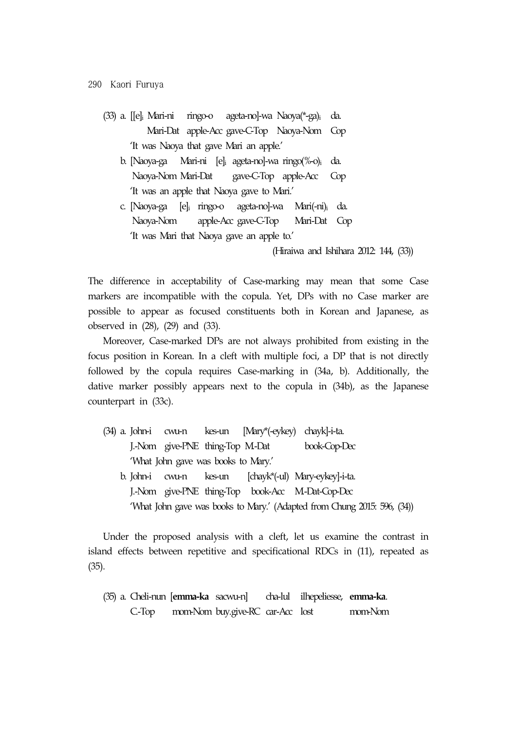- (33) a. [[e]i Mari-ni ringo-o ageta-no]-wa Naoya(\*-ga)i da. Mari-Dat apple-Acc gave-C-Top Naoya-Nom Cop 'It was Naoya that gave Mari an apple.'
	- b. [Naoya-ga Mari-ni [e]i ageta-no]-wa ringo(%-o)i da. Naoya-Nom Mari-Dat gave-C-Top apple-Acc Cop 'It was an apple that Naoya gave to Mari.'
	- c. [Naoya-ga [e]i ringo-o ageta-no]-wa Mari(-ni)i da. Naoya-Nom apple-Acc gave-C-Top Mari-Dat Cop 'It was Mari that Naoya gave an apple to.'

(Hiraiwa and Ishihara 2012: 144, (33))

The difference in acceptability of Case-marking may mean that some Case markers are incompatible with the copula. Yet, DPs with no Case marker are possible to appear as focused constituents both in Korean and Japanese, as observed in (28), (29) and (33).

Moreover, Case-marked DPs are not always prohibited from existing in the focus position in Korean. In a cleft with multiple foci, a DP that is not directly followed by the copula requires Case-marking in (34a, b). Additionally, the dative marker possibly appears next to the copula in (34b), as the Japanese counterpart in (33c).

- (34) a. John-i cwu-n kes-un [Mary\*(-eykey) chayk]-i-ta. J.-Nom give-PNE thing-Top M.-Dat book-Cop-Dec 'What John gave was books to Mary.' b. John-i cwu-n kes-un [chayk\*(-ul) Mary-eykey]-i-ta. J.-Nom give-PNE thing-Top book-Acc M.-Dat-Cop-Dec
	- 'What John gave was books to Mary.' (Adapted from Chung 2015: 596, (34))

Under the proposed analysis with a cleft, let us examine the contrast in island effects between repetitive and specificational RDCs in (11), repeated as (35).

(35) a. Cheli-nun [**emma-ka** sacwu-n] cha-lul ilhepeliesse, **emma-ka**. C.-Top mom-Nom buy.give-RC car-Acc lost mom-Nom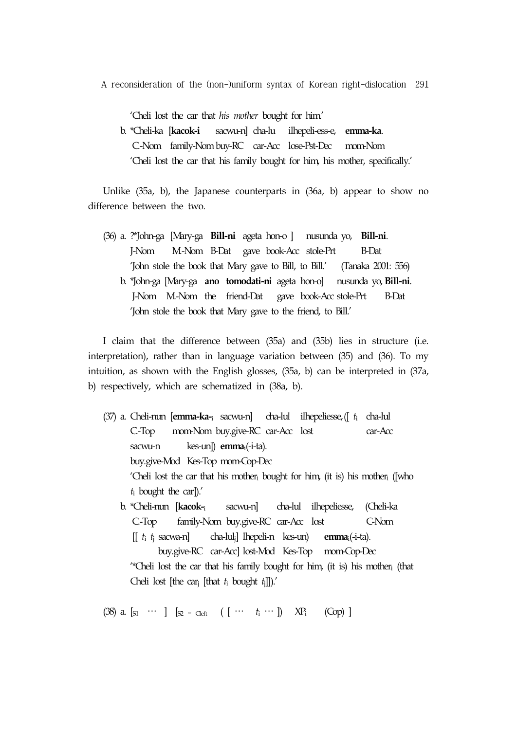'Cheli lost the car that *his mother* bought for him.'

 b. \*Cheli-ka [**kacok-i** sacwu-n] cha-lu ilhepeli-ess-e, **emma-ka**. C.-Nom family-Nom buy-RC car-Acc lose-Pst-Dec mom-Nom 'Cheli lost the car that his family bought for him, his mother, specifically.'

Unlike (35a, b), the Japanese counterparts in (36a, b) appear to show no difference between the two.

(36) a. ?\*John-ga [Mary-ga **Bill-ni** ageta hon-o ] nusunda yo, **Bill-ni**. J-Nom M.-Nom B-Dat gave book-Acc stole-Prt B-Dat 'John stole the book that Mary gave to Bill, to Bill.' (Tanaka 2001: 556) b. \*John-ga [Mary-ga **ano tomodati-ni** ageta hon-o] nusunda yo, **Bill-ni**. J-Nom M.-Nom the friend-Dat gave book-Acc stole-Prt B-Dat 'John stole the book that Mary gave to the friend, to Bill.'

I claim that the difference between (35a) and (35b) lies in structure (i.e. interpretation), rather than in language variation between (35) and (36). To my intuition, as shown with the English glosses, (35a, b) can be interpreted in (37a, b) respectively, which are schematized in (38a, b).

(37) a. Cheli-nun [**emma-ka-**<sup>i</sup> sacwu-n] cha-lul ilhepeliesse,([ *t*i cha-lul C.-Top mom-Nom buy.give-RC car-Acc lost car-Acc sacwu-n kes-un]) **emma**i(-i-ta). buy.give-Mod Kes-Top mom-Cop-Dec 'Cheli lost the car that his mother<sub>i</sub> bought for him, (it is) his mother<sub>i</sub> ([who *t*i bought the car]).' b. \*Cheli-nun [**kacok-**<sup>i</sup> sacwu-n] cha-lul ilhepeliesse, (Cheli-ka C.-Top family-Nom buy.give-RC car-Acc lost C-Nom [[ *t*<sup>i</sup> *t*j sacwa-n] cha-lulj] lhepeli-n kes-un) **emma**i(-i-ta). buy.give-RC car-Acc] lost-Mod Kes-Top mom-Cop-Dec

"Cheli lost the car that his family bought for him, (it is) his mother<sub>i</sub> (that Cheli lost [the carj [that *t*i bought *t*j]]).'

(38) a.  $[s_1 \cdots ] [s_2 = c_{\text{left}} ( [ \cdots t_i \cdots ] ) X P_i (Cop) ]$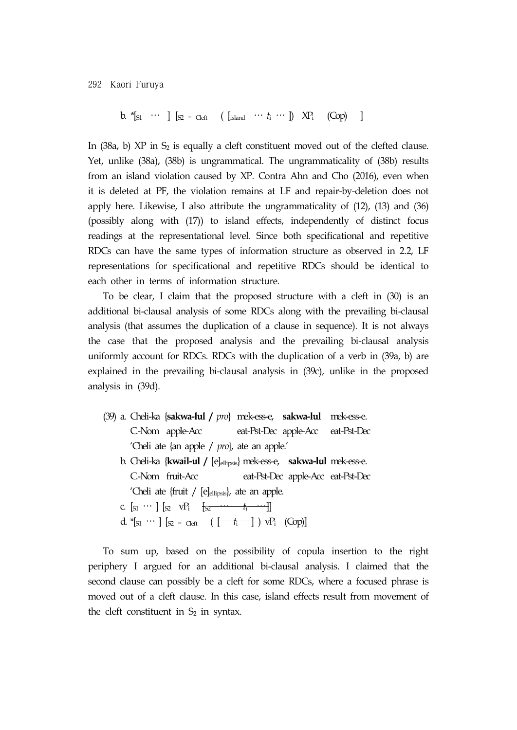b.  $*$ [S1 … ] [S2 = Cleft ( [island …  $t_i$  … ])  $XP_i$  (Cop) ]

In  $(38a, b)$  XP in  $S_2$  is equally a cleft constituent moved out of the clefted clause. Yet, unlike (38a), (38b) is ungrammatical. The ungrammaticality of (38b) results from an island violation caused by XP. Contra Ahn and Cho (2016), even when it is deleted at PF, the violation remains at LF and repair-by-deletion does not apply here. Likewise, I also attribute the ungrammaticality of (12), (13) and (36) (possibly along with (17)) to island effects, independently of distinct focus readings at the representational level. Since both specificational and repetitive RDCs can have the same types of information structure as observed in 2.2, LF representations for specificational and repetitive RDCs should be identical to each other in terms of information structure.

To be clear, I claim that the proposed structure with a cleft in (30) is an additional bi-clausal analysis of some RDCs along with the prevailing bi-clausal analysis (that assumes the duplication of a clause in sequence). It is not always the case that the proposed analysis and the prevailing bi-clausal analysis uniformly account for RDCs. RDCs with the duplication of a verb in (39a, b) are explained in the prevailing bi-clausal analysis in (39c), unlike in the proposed analysis in (39d).

- (39) a. Cheli-ka {**sakwa-lul /** *pro*} mek-ess-e, **sakwa-lul** mek-ess-e. C.-Nom apple-Acc eat-Pst-Dec apple-Acc eat-Pst-Dec 'Cheli ate {an apple / *pro*}, ate an apple.'
	- b. Cheli-ka {**kwail-ul /** [e]ellipsis} mek-ess-e, **sakwa-lul** mek-ess-e. C.-Nom fruit-Acc eat-Pst-Dec apple-Acc eat-Pst-Dec 'Cheli ate {fruit / [e]<sub>ellipsis</sub>}, ate an apple.
	- c.  $[s_1 \cdots] [s_2 \quad vP_i \quad [s_2 \cdots t_i \cdots] ]$
	- d.  $*$ [ $_{S1}$   $\cdots$  ]  $\left[ {}_{S2}$  = Cleft  $\left( \begin{array}{ccc} \leftarrow & & \\ \leftarrow & & \\ \end{array} \right)$   $\vee$ P<sub>i</sub>  $\left($ Cop)]

To sum up, based on the possibility of copula insertion to the right periphery I argued for an additional bi-clausal analysis. I claimed that the second clause can possibly be a cleft for some RDCs, where a focused phrase is moved out of a cleft clause. In this case, island effects result from movement of the cleft constituent in  $S_2$  in syntax.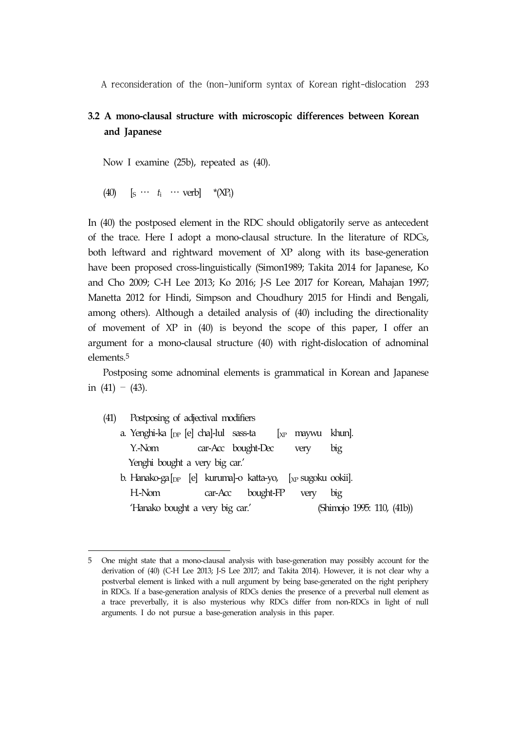# **3.2 A mono-clausal structure with microscopic differences between Korean and Japanese**

Now I examine (25b), repeated as (40).

(40)  $\left[\mathbf{s} \cdots \mathbf{t}_{i} \cdots \mathbf{verb}\right]$  \*(XP<sub>i</sub>)

In (40) the postposed element in the RDC should obligatorily serve as antecedent of the trace. Here I adopt a mono-clausal structure. In the literature of RDCs, both leftward and rightward movement of XP along with its base-generation have been proposed cross-linguistically (Simon1989; Takita 2014 for Japanese, Ko and Cho 2009; C-H Lee 2013; Ko 2016; J-S Lee 2017 for Korean, Mahajan 1997; Manetta 2012 for Hindi, Simpson and Choudhury 2015 for Hindi and Bengali, among others). Although a detailed analysis of (40) including the directionality of movement of XP in (40) is beyond the scope of this paper, I offer an argument for a mono-clausal structure (40) with right-dislocation of adnominal elements.5

Postposing some adnominal elements is grammatical in Korean and Japanese in  $(41) - (43)$ .

(41) Postposing of adjectival modifiers a. Yenghi-ka [DP [e] cha]-lul sass-ta [XP maywu khun]. Y.-Nom car-Acc bought-Dec very big Yenghi bought a very big car.' b. Hanako-ga[<sub>DP</sub> [e] kuruma]-o katta-yo, [<sub>XP</sub> sugoku ookii]. H.-Nom car-Acc bought-FP very big 'Hanako bought a very big car.' (Shimojo 1995: 110, (41b))

<sup>5</sup> One might state that a mono-clausal analysis with base-generation may possibly account for the derivation of (40) (C-H Lee 2013; J-S Lee 2017; and Takita 2014). However, it is not clear why a postverbal element is linked with a null argument by being base-generated on the right periphery in RDCs. If a base-generation analysis of RDCs denies the presence of a preverbal null element as a trace preverbally, it is also mysterious why RDCs differ from non-RDCs in light of null arguments. I do not pursue a base-generation analysis in this paper.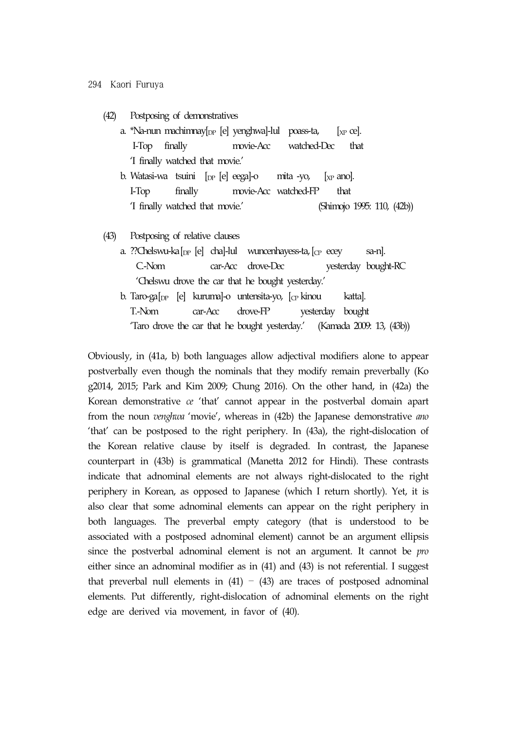(42) Postposing of demonstratives

- a. \*Na-nun machimnay $[$ <sub>DP</sub> [e] yenghwa]-lul poass-ta,  $[xP]$  ce]. I-Top finally movie-Acc watched-Dec that 'I finally watched that movie.'
- b. Watasi-wa tsuini [DP [e] eega]-o mita -yo, [XP ano]. I-Top finally movie-Acc watched-FP that 'I finally watched that movie.' (Shimojo 1995: 110, (42b))
- (43) Postposing of relative clauses
	- a. ??Chelswu-ka $[p_{\rm P}$  [e] cha]-lul wuncenhayess-ta,  $[p_{\rm P}$  ecey sa-n]. C.-Nom car-Acc drove-Dec yesterday bought-RC 'Chelswu drove the car that he bought yesterday.'
	- b. Taro-ga $\lceil_{\text{DP}} \rceil$  [e] kuruma]-o untensita-yo,  $\lceil_{\text{CP}} \rceil$  kinou katta]. T.-Nom car-Acc drove-FP yesterday bought 'Taro drove the car that he bought yesterday.' (Kamada 2009: 13, (43b))

Obviously, in (41a, b) both languages allow adjectival modifiers alone to appear postverbally even though the nominals that they modify remain preverbally (Ko g2014, 2015; Park and Kim 2009; Chung 2016). On the other hand, in (42a) the Korean demonstrative *ce* 'that' cannot appear in the postverbal domain apart from the noun *venghwa* 'movie', whereas in (42b) the Japanese demonstrative *ano*  'that' can be postposed to the right periphery. In (43a), the right-dislocation of the Korean relative clause by itself is degraded. In contrast, the Japanese counterpart in (43b) is grammatical (Manetta 2012 for Hindi). These contrasts indicate that adnominal elements are not always right-dislocated to the right periphery in Korean, as opposed to Japanese (which I return shortly). Yet, it is also clear that some adnominal elements can appear on the right periphery in both languages. The preverbal empty category (that is understood to be associated with a postposed adnominal element) cannot be an argument ellipsis since the postverbal adnominal element is not an argument. It cannot be *pro* either since an adnominal modifier as in (41) and (43) is not referential. I suggest that preverbal null elements in  $(41)$  –  $(43)$  are traces of postposed adnominal elements. Put differently, right-dislocation of adnominal elements on the right edge are derived via movement, in favor of (40).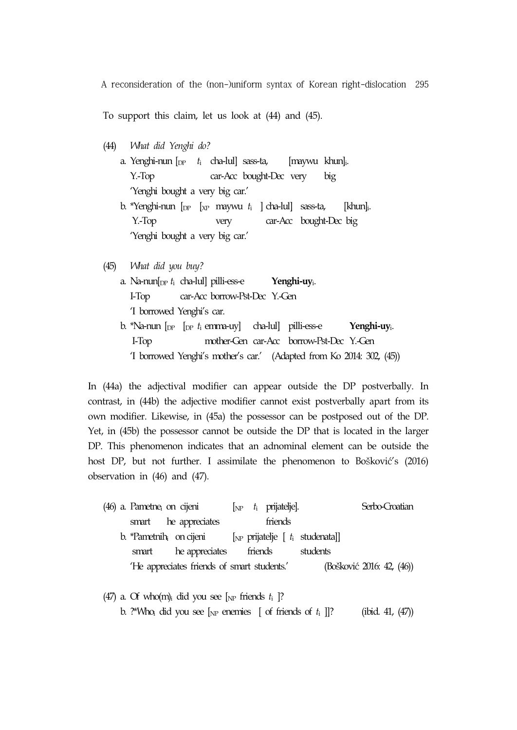To support this claim, let us look at (44) and (45).

(44) *What did Yenghi do?*

| a. Yenghi-nun $\begin{bmatrix} p & t_i & cha-lul \end{bmatrix}$ sass-ta,                 |      |                         | [maywu khun] <sub>i</sub> . |     |                       |
|------------------------------------------------------------------------------------------|------|-------------------------|-----------------------------|-----|-----------------------|
| $Y.$ Top                                                                                 |      | car-Acc bought-Dec very |                             | big |                       |
| 'Yenghi bought a very big car.'                                                          |      |                         |                             |     |                       |
| b. *Yenghi-nun $\lceil_{DP} \rceil$ x <sub>P</sub> maywu $t_i$ $\lceil$ cha-lul sass-ta, |      |                         |                             |     | [khun <sub>li</sub> . |
| $Y.$ Top                                                                                 | very |                         | car-Acc bought-Dec big      |     |                       |
| 'Yenghi bought a very big car.'                                                          |      |                         |                             |     |                       |

- (45) *What did you buy?*
	- a. Na-nun[DP *t*<sup>i</sup> cha-lul] pilli-ess-e **Yenghi-uy**i. I-Top car-Acc borrow-Pst-Dec Y.-Gen 'I borrowed Yenghi's car. b. \*Na-nun [DP [DP *t*<sup>i</sup> emma-uy] cha-lul] pilli-ess-e **Yenghi-uy**i. I-Top mother-Gen car-Acc borrow-Pst-Dec Y.-Gen 'I borrowed Yenghi's mother's car.' (Adapted from Ko 2014: 302, (45))

In (44a) the adjectival modifier can appear outside the DP postverbally. In contrast, in (44b) the adjective modifier cannot exist postverbally apart from its own modifier. Likewise, in (45a) the possessor can be postposed out of the DP. Yet, in (45b) the possessor cannot be outside the DP that is located in the larger DP. This phenomenon indicates that an adnominal element can be outside the host DP, but not further. I assimilate the phenomenon to Bošković's (2016) observation in (46) and (47).

|  |       | (46) a. Pametne <sub>i</sub> on cijeni      |         | $\begin{bmatrix} N\mathbb{P} & t_i & \text{prijateljel.} \end{bmatrix}$ |                                          | Serbo-Croatian            |
|--|-------|---------------------------------------------|---------|-------------------------------------------------------------------------|------------------------------------------|---------------------------|
|  |       | smart he appreciates                        |         | friends                                                                 |                                          |                           |
|  |       | b. *Pametni $h_i$ on cijeni                 |         |                                                                         | [ $_{NP}$ prijatelje [ $t_i$ studenata]] |                           |
|  | smart | he appreciates                              | friends |                                                                         | students                                 |                           |
|  |       | 'He appreciates friends of smart students.' |         |                                                                         |                                          | (Bošković 2016: 42, (46)) |
|  |       |                                             |         |                                                                         |                                          |                           |

(47) a. Of who(m)<sub>i</sub> did you see [ $_{NP}$  friends  $t_i$  ]? b. ?\*Who<sub>i</sub> did you see  $\lbrack_{\text{NP}}$  enemies  $\lbrack$  of friends of  $t_i$   $\rbrack$ ? (ibid. 41, (47))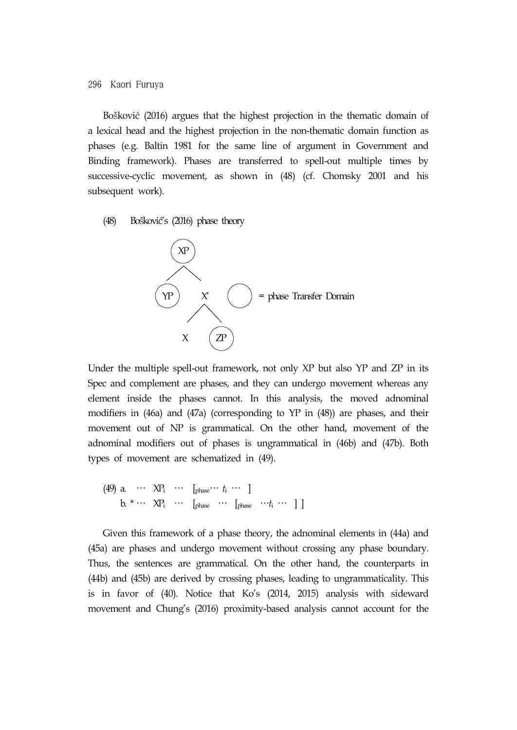Bošković (2016) argues that the highest projection in the thematic domain of a lexical head and the highest projection in the non-thematic domain function as phases (e.g. Baltin 1981 for the same line of argument in Government and Binding framework). Phases are transferred to spell-out multiple times by successive-cyclic movement, as shown in (48) (cf. Chomsky 2001 and his subsequent work).

(48) Bošković's (2016) phase theory



Under the multiple spell-out framework, not only XP but also YP and ZP in its Spec and complement are phases, and they can undergo movement whereas any element inside the phases cannot. In this analysis, the moved adnominal modifiers in (46a) and (47a) (corresponding to YP in (48)) are phases, and their movement out of NP is grammatical. On the other hand, movement of the adnominal modifiers out of phases is ungrammatical in (46b) and (47b). Both types of movement are schematized in (49).

(49) a. … XPi … [phase… *t*<sup>i</sup> … ] b.  $* \cdots \times P_i \cdots$  [phase  $\cdots$  [phase  $\cdots t_i \cdots$  ]

Given this framework of a phase theory, the adnominal elements in (44a) and (45a) are phases and undergo movement without crossing any phase boundary. Thus, the sentences are grammatical. On the other hand, the counterparts in (44b) and (45b) are derived by crossing phases, leading to ungrammaticality. This is in favor of (40). Notice that Ko's (2014, 2015) analysis with sideward movement and Chung's (2016) proximity-based analysis cannot account for the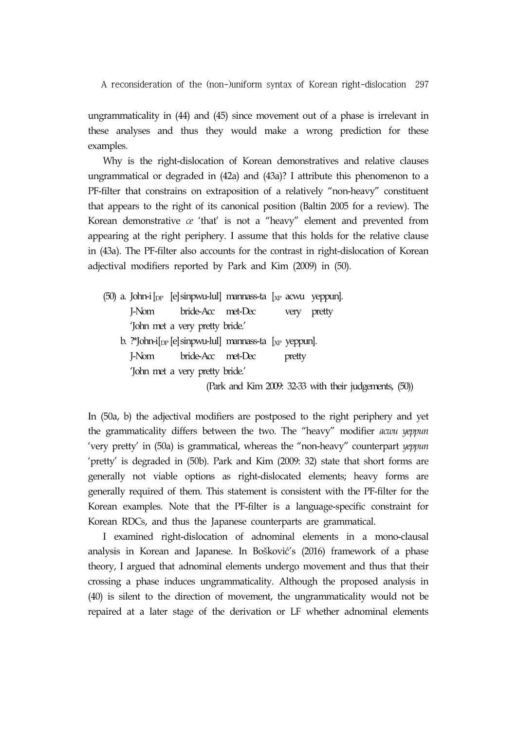ungrammaticality in (44) and (45) since movement out of a phase is irrelevant in these analyses and thus they would make a wrong prediction for these examples.

Why is the right-dislocation of Korean demonstratives and relative clauses ungrammatical or degraded in (42a) and (43a)? I attribute this phenomenon to a PF-filter that constrains on extraposition of a relatively "non-heavy" constituent that appears to the right of its canonical position (Baltin 2005 for a review). The Korean demonstrative *ce* 'that' is not a "heavy" element and prevented from appearing at the right periphery. I assume that this holds for the relative clause in (43a). The PF-filter also accounts for the contrast in right-dislocation of Korean adjectival modifiers reported by Park and Kim (2009) in (50).

|  | (50) a. John-i $\lbrack_{DP}$ [e] sinpwu-lul] mannass-ta $\lbrack_{XP}$ acwu yeppun].                                                         |  |        |                                                        |  |
|--|-----------------------------------------------------------------------------------------------------------------------------------------------|--|--------|--------------------------------------------------------|--|
|  | I-Nom bride-Acc met-Dec                                                                                                                       |  | very   | pretty                                                 |  |
|  | John met a very pretty bride.                                                                                                                 |  |        |                                                        |  |
|  | b. $\frac{1}{2}$ b ohn-i $\left[$ <sub>DP</sub> $\left[$ e $\right]$ sinpwu-lul $\left[$ mannass-ta $\left[$ <sub>XP</sub> yeppun $\right]$ . |  |        |                                                        |  |
|  | I-Nom bride-Acc met-Dec                                                                                                                       |  | pretty |                                                        |  |
|  | 'John met a very pretty bride.'                                                                                                               |  |        |                                                        |  |
|  |                                                                                                                                               |  |        | (Park and Kim 2009: 32-33 with their judgements, (50)) |  |

In (50a, b) the adjectival modifiers are postposed to the right periphery and yet the grammaticality differs between the two. The "heavy" modifier *acwu yeppun* 'very pretty' in (50a) is grammatical, whereas the "non-heavy" counterpart *yeppun* 'pretty' is degraded in (50b). Park and Kim (2009: 32) state that short forms are generally not viable options as right-dislocated elements; heavy forms are generally required of them. This statement is consistent with the PF-filter for the Korean examples. Note that the PF-filter is a language-specific constraint for Korean RDCs, and thus the Japanese counterparts are grammatical.

I examined right-dislocation of adnominal elements in a mono-clausal analysis in Korean and Japanese. In Bošković's (2016) framework of a phase theory, I argued that adnominal elements undergo movement and thus that their crossing a phase induces ungrammaticality. Although the proposed analysis in (40) is silent to the direction of movement, the ungrammaticality would not be repaired at a later stage of the derivation or LF whether adnominal elements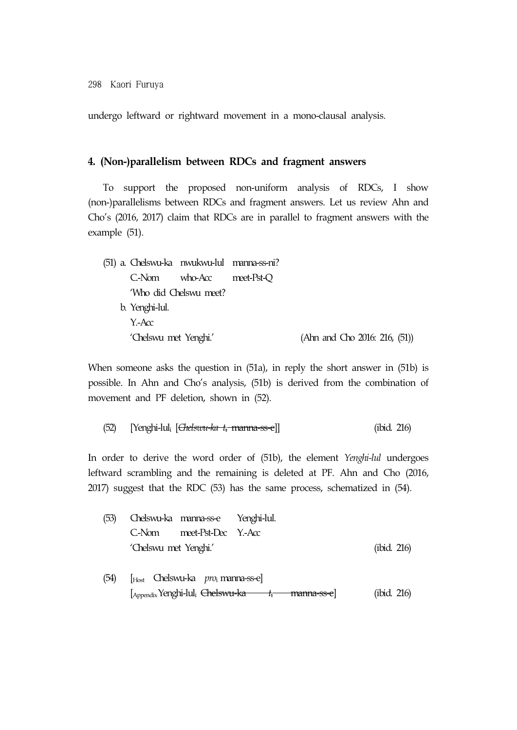undergo leftward or rightward movement in a mono-clausal analysis.

# **4. (Non-)parallelism between RDCs and fragment answers**

To support the proposed non-uniform analysis of RDCs, I show (non-)parallelisms between RDCs and fragment answers. Let us review Ahn and Cho's (2016, 2017) claim that RDCs are in parallel to fragment answers with the example (51).

|  |                       | (51) a. Chelswu-ka nwukwu-lul manna-ss-ni? |                                  |
|--|-----------------------|--------------------------------------------|----------------------------------|
|  | C-Nom                 | who-Acc meet-Pst-O                         |                                  |
|  |                       | 'Who did Chelswu meet?                     |                                  |
|  | b. Yenghi-lul.        |                                            |                                  |
|  | $Y - Acc$             |                                            |                                  |
|  | 'Chelswu met Yenghi.' |                                            | (Ahn and Cho 2016: 216, $(51)$ ) |
|  |                       |                                            |                                  |

When someone asks the question in (51a), in reply the short answer in (51b) is possible. In Ahn and Cho's analysis, (51b) is derived from the combination of movement and PF deletion, shown in (52).

(52) [Yenghi-luli [*Chelswu-ka t*i manna-ss-e]] (ibid. 216)

In order to derive the word order of (51b), the element *Yenghi-lul* undergoes leftward scrambling and the remaining is deleted at PF. Ahn and Cho (2016, 2017) suggest that the RDC (53) has the same process, schematized in (54).

| (53) |                       | Chelswu-ka manna-ss-e Yenghi-lul.                                                                             |             |
|------|-----------------------|---------------------------------------------------------------------------------------------------------------|-------------|
|      |                       | C-Nom meet-Pst-Dec Y.-Acc                                                                                     |             |
|      | 'Chelswu met Yenghi.' |                                                                                                               | (ibid. 216) |
| (54) |                       | $\left[\begin{matrix}H_{\text{Ost}} & \text{Chelswu-ka} & \text{pro}_i \text{ manna-ss-e}\end{matrix}\right]$ |             |

[AppendixYenghi-luli Chelswu-ka *t*i manna-ss-e] (ibid. 216)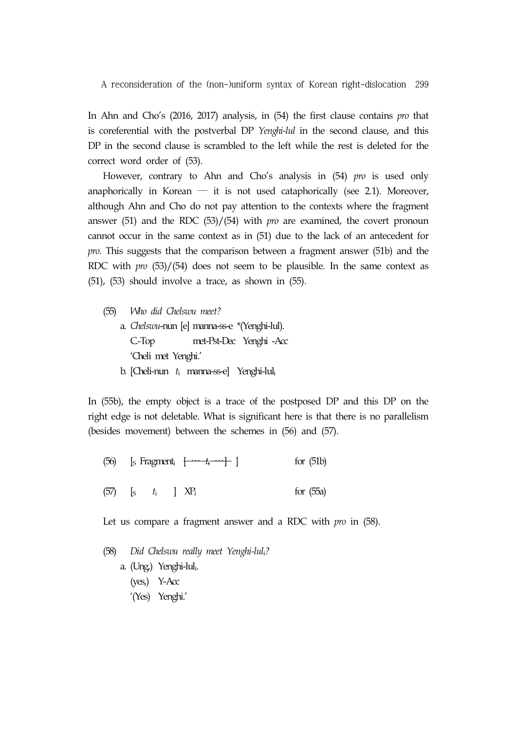In Ahn and Cho's (2016, 2017) analysis, in (54) the first clause contains *pro* that is coreferential with the postverbal DP *Yenghi-lul* in the second clause, and this DP in the second clause is scrambled to the left while the rest is deleted for the correct word order of (53).

However, contrary to Ahn and Cho's analysis in (54) *pro* is used only anaphorically in Korean  $-$  it is not used cataphorically (see 2.1). Moreover, although Ahn and Cho do not pay attention to the contexts where the fragment answer (51) and the RDC (53)/(54) with *pro* are examined, the covert pronoun cannot occur in the same context as in (51) due to the lack of an antecedent for *pro*. This suggests that the comparison between a fragment answer (51b) and the RDC with *pro* (53)/(54) does not seem to be plausible. In the same context as (51), (53) should involve a trace, as shown in (55).

(55) *Who did Chelswu meet?* a. *Chelswu*-nun [e] manna-ss-e \*(Yenghi-lul). C.-Top met-Pst-Dec Yenghi -Acc 'Cheli met Yenghi.' b. [Cheli-nun *t*i manna-ss-e] Yenghi-luli

In (55b), the empty object is a trace of the postposed DP and this DP on the right edge is not deletable. What is significant here is that there is no parallelism (besides movement) between the schemes in (56) and (57).

| (56) [s Fragment <sub>i</sub> $[\cdots t_i \cdots]$ ] |  | for $(51b)$ |
|-------------------------------------------------------|--|-------------|
|-------------------------------------------------------|--|-------------|

 $(57)$  [s  $t_i$  ]  $XP_i$  for (55a)

Let us compare a fragment answer and a RDC with *pro* in (58).

(58) *Did Chelswu really meet Yenghi-lul*i*?* a. (Ung,) Yenghi-luli. (yes,) Y-Acc '(Yes) Yenghi.'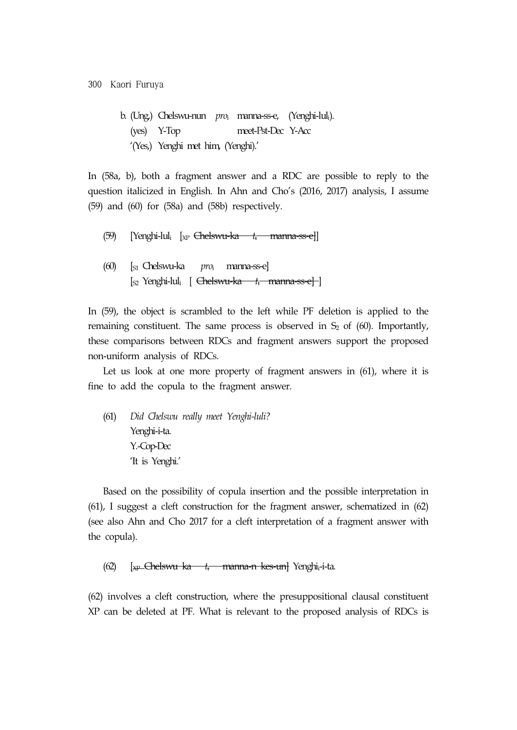b. (Ung,) Chelswu-nun *pro*<sup>i</sup> manna-ss-e, (Yenghi-luli). (yes) Y-Top meet-Pst-Dec Y-Acc '(Yes,) Yenghi met him, (Yenghi).'

In (58a, b), both a fragment answer and a RDC are possible to reply to the question italicized in English. In Ahn and Cho's (2016, 2017) analysis, I assume (59) and (60) for (58a) and (58b) respectively.

(59) [Yenghi-luli [XP Chelswu-ka *t*i manna-ss-e]]

(60) [S1 Chelswu-ka *pro*i manna-ss-e] [S2 Yenghi-luli [ Chelswu-ka *t*i manna-ss-e] ]

In (59), the object is scrambled to the left while PF deletion is applied to the remaining constituent. The same process is observed in  $S_2$  of (60). Importantly, these comparisons between RDCs and fragment answers support the proposed non-uniform analysis of RDCs.

Let us look at one more property of fragment answers in  $(61)$ , where it is fine to add the copula to the fragment answer.

(61) *Did Chelswu really meet Yenghi-luli?* Yenghi-i-ta. Y.-Cop-Dec 'It is Yenghi.'

Based on the possibility of copula insertion and the possible interpretation in (61), I suggest a cleft construction for the fragment answer, schematized in (62) (see also Ahn and Cho 2017 for a cleft interpretation of a fragment answer with the copula).

(62) [XP Chelswu ka *t*i manna-n kes-un] Yenghii-i-ta.

(62) involves a cleft construction, where the presuppositional clausal constituent XP can be deleted at PF. What is relevant to the proposed analysis of RDCs is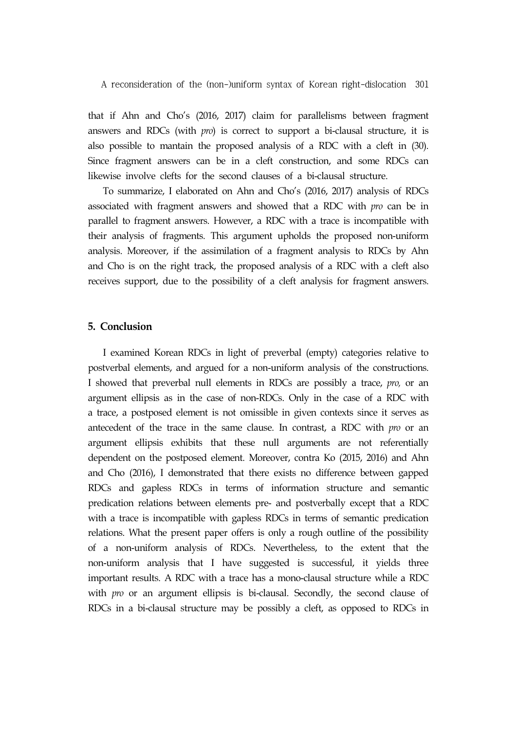that if Ahn and Cho's (2016, 2017) claim for parallelisms between fragment answers and RDCs (with *pro*) is correct to support a bi-clausal structure, it is also possible to mantain the proposed analysis of a RDC with a cleft in (30). Since fragment answers can be in a cleft construction, and some RDCs can likewise involve clefts for the second clauses of a bi-clausal structure.

To summarize, I elaborated on Ahn and Cho's (2016, 2017) analysis of RDCs associated with fragment answers and showed that a RDC with *pro* can be in parallel to fragment answers. However, a RDC with a trace is incompatible with their analysis of fragments. This argument upholds the proposed non-uniform analysis. Moreover, if the assimilation of a fragment analysis to RDCs by Ahn and Cho is on the right track, the proposed analysis of a RDC with a cleft also receives support, due to the possibility of a cleft analysis for fragment answers.

#### **5. Conclusion**

I examined Korean RDCs in light of preverbal (empty) categories relative to postverbal elements, and argued for a non-uniform analysis of the constructions. I showed that preverbal null elements in RDCs are possibly a trace, *pro,* or an argument ellipsis as in the case of non-RDCs. Only in the case of a RDC with a trace, a postposed element is not omissible in given contexts since it serves as antecedent of the trace in the same clause. In contrast, a RDC with *pro* or an argument ellipsis exhibits that these null arguments are not referentially dependent on the postposed element. Moreover, contra Ko (2015, 2016) and Ahn and Cho (2016), I demonstrated that there exists no difference between gapped RDCs and gapless RDCs in terms of information structure and semantic predication relations between elements pre- and postverbally except that a RDC with a trace is incompatible with gapless RDCs in terms of semantic predication relations. What the present paper offers is only a rough outline of the possibility of a non-uniform analysis of RDCs. Nevertheless, to the extent that the non-uniform analysis that I have suggested is successful, it yields three important results. A RDC with a trace has a mono-clausal structure while a RDC with *pro* or an argument ellipsis is bi-clausal. Secondly, the second clause of RDCs in a bi-clausal structure may be possibly a cleft, as opposed to RDCs in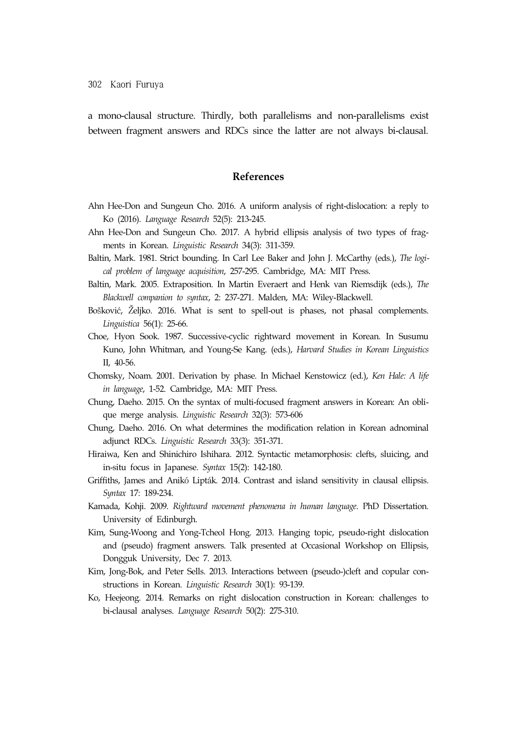a mono-clausal structure. Thirdly, both parallelisms and non-parallelisms exist between fragment answers and RDCs since the latter are not always bi-clausal.

## **References**

- Ahn Hee-Don and Sungeun Cho. 2016. A uniform analysis of right-dislocation: a reply to Ko (2016). *Language Research* 52(5): 213-245.
- Ahn Hee-Don and Sungeun Cho. 2017. A hybrid ellipsis analysis of two types of fragments in Korean. *Linguistic Research* 34(3): 311-359.
- Baltin, Mark. 1981. Strict bounding. In Carl Lee Baker and John J. McCarthy (eds.), *The logical problem of language acquisition*, 257-295. Cambridge, MA: MIT Press.
- Baltin, Mark. 2005. Extraposition. In Martin Everaert and Henk van Riemsdijk (eds.), *The Blackwell companion to syntax*, 2: 237-271. Malden, MA: Wiley-Blackwell.
- Bošković, Željko. 2016. What is sent to spell-out is phases, not phasal complements. *Linguistica* 56(1): 25-66.
- Choe, Hyon Sook. 1987. Successive-cyclic rightward movement in Korean. In Susumu Kuno, John Whitman, and Young-Se Kang. (eds.), *Harvard Studies in Korean Linguistics*  II, 40-56.
- Chomsky, Noam. 2001. Derivation by phase. In Michael Kenstowicz (ed.), *Ken Hale: A life in language*, 1-52. Cambridge, MA: MIT Press.
- Chung, Daeho. 2015. On the syntax of multi-focused fragment answers in Korean: An oblique merge analysis. *Linguistic Research* 32(3): 573-606
- Chung, Daeho. 2016. On what determines the modification relation in Korean adnominal adjunct RDCs. *Linguistic Research* 33(3): 351-371.
- Hiraiwa, Ken and Shinichiro Ishihara. 2012. Syntactic metamorphosis: clefts, sluicing, and in-situ focus in Japanese. *Syntax* 15(2): 142-180.
- Griffiths, James and Anikó Lipták. 2014. Contrast and island sensitivity in clausal ellipsis. *Syntax* 17: 189-234.
- Kamada, Kohji. 2009. *Rightward movement phenomena in human language*. PhD Dissertation. University of Edinburgh.
- Kim, Sung-Woong and Yong-Tcheol Hong. 2013. Hanging topic, pseudo-right dislocation and (pseudo) fragment answers. Talk presented at Occasional Workshop on Ellipsis, Dongguk University, Dec 7. 2013.
- Kim, Jong-Bok, and Peter Sells. 2013. Interactions between (pseudo-)cleft and copular constructions in Korean. *Linguistic Research* 30(1): 93-139.
- Ko, Heejeong. 2014. Remarks on right dislocation construction in Korean: challenges to bi-clausal analyses. *Language Research* 50(2): 275-310.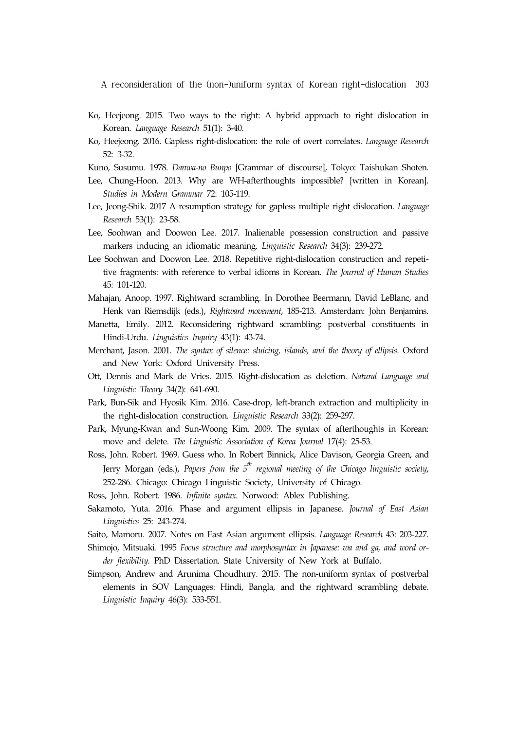- Ko, Heejeong. 2015. Two ways to the right: A hybrid approach to right dislocation in Korean. *Language Research* 51(1): 3-40.
- Ko, Heejeong. 2016. Gapless right-dislocation: the role of overt correlates. *Language Research* 52: 3-32.
- Kuno, Susumu. 1978. *Danwa-no Bunpo* [Grammar of discourse], Tokyo: Taishukan Shoten.
- Lee, Chung-Hoon. 2013. Why are WH-afterthoughts impossible? [written in Korean]. *Studies in Modern Grammar* 72: 105-119.
- Lee, Jeong-Shik. 2017 A resumption strategy for gapless multiple right dislocation. *Language Research* 53(1): 23-58.
- Lee, Soohwan and Doowon Lee. 2017. Inalienable possession construction and passive markers inducing an idiomatic meaning. *Linguistic Research* 34(3): 239-272.
- Lee Soohwan and Doowon Lee. 2018. Repetitive right-dislocation construction and repetitive fragments: with reference to verbal idioms in Korean. *The Journal of Human Studies* 45: 101-120.
- Mahajan, Anoop. 1997. Rightward scrambling. In Dorothee Beermann, David LeBlanc, and Henk van Riemsdijk (eds.), *Rightward movement*, 185-213. Amsterdam: John Benjamins.
- Manetta, Emily. 2012. Reconsidering rightward scrambling: postverbal constituents in Hindi-Urdu. *Linguistics Inquiry* 43(1): 43-74.
- Merchant, Jason. 2001. *The syntax of silence: sluicing, islands, and the theory of ellipsis*. Oxford and New York: Oxford University Press.
- Ott, Dennis and Mark de Vries. 2015. Right-dislocation as deletion. *Natural Language and Linguistic Theory* 34(2): 641-690.
- Park, Bun-Sik and Hyosik Kim. 2016. Case-drop, left-branch extraction and multiplicity in the right-dislocation construction. *Linguistic Research* 33(2): 259-297.
- Park, Myung-Kwan and Sun-Woong Kim. 2009. The syntax of afterthoughts in Korean: move and delete. *The Linguistic Association of Korea Journal* 17(4): 25-53.
- Ross, John. Robert. 1969. Guess who. In Robert Binnick, Alice Davison, Georgia Green, and Jerry Morgan (eds.), Papers from the 5<sup>th</sup> regional meeting of the Chicago linguistic society, 252-286. Chicago: Chicago Linguistic Society, University of Chicago.
- Ross, John. Robert. 1986. *Infinite syntax*. Norwood: Ablex Publishing.
- Sakamoto, Yuta. 2016. Phase and argument ellipsis in Japanese. *Journal of East Asian Linguistics* 25: 243-274.
- Saito, Mamoru. 2007. Notes on East Asian argument ellipsis. *Language Research* 43: 203-227.
- Shimojo, Mitsuaki. 1995 *Focus structure and morphosyntax in Japanese: wa and ga, and word order flexibility*. PhD Dissertation. State University of New York at Buffalo.
- Simpson, Andrew and Arunima Choudhury. 2015. The non-uniform syntax of postverbal elements in SOV Languages: Hindi, Bangla, and the rightward scrambling debate. *Linguistic Inquiry* 46(3): 533-551.